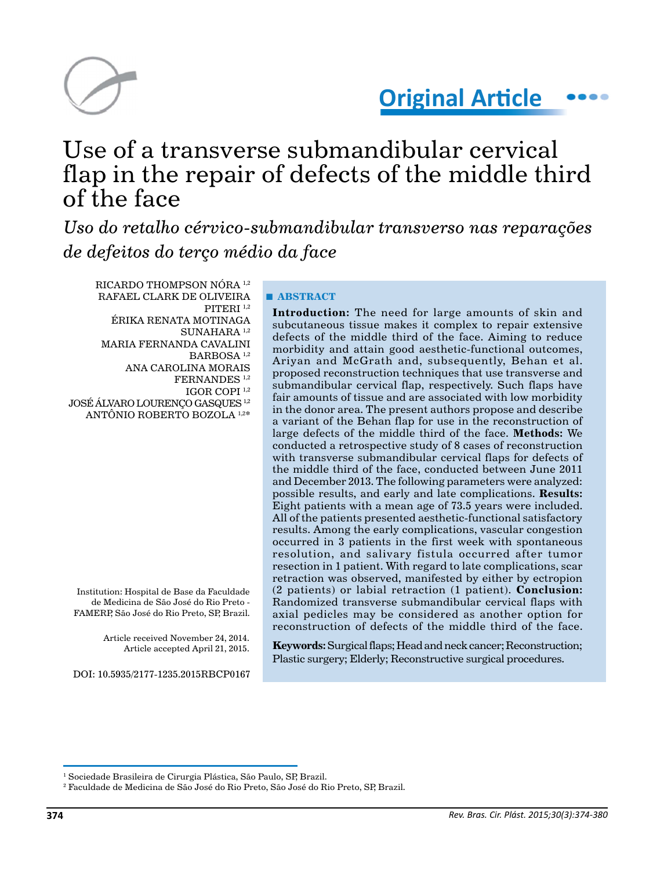



# Use of a transverse submandibular cervical flap in the repair of defects of the middle third  $of$  the face

*Uso do retalho cérvico-submandibular transverso nas reparações de defeitos do terço médio da face*

RICARDO THOMPSON NÓRA 1,2 RAFAEL CLARK DE OLIVEIRA PITERI 1,2 ÉRIKA RENATA MOTINAGA  $\rm SUMAHARA$   $^{1,2}$ MARIA FERNANDA CAVALINI BARBOSA<sup>1,2</sup> ANA CAROLINA MORAIS FERNANDES 1,2 IGOR COPI 1,2 JOSÉ ÁLVARO LOURENÇO GASQUES 1,2 ANTÔNIO ROBERTO BOZOLA 1,2\*

Institution: Hospital de Base da Faculdade de Medicina de São José do Rio Preto - FAMERP, São José do Rio Preto, SP, Brazil.

> Article received November 24, 2014. Article accepted April 21, 2015.

DOI: 10.5935/2177-1235.2015RBCP0167

## **■ ABSTRACT**

**Introduction:** The need for large amounts of skin and subcutaneous tissue makes it complex to repair extensive defects of the middle third of the face. Aiming to reduce morbidity and attain good aesthetic-functional outcomes, Ariyan and McGrath and, subsequently, Behan et al. proposed reconstruction techniques that use transverse and submandibular cervical flap, respectively. Such flaps have fair amounts of tissue and are associated with low morbidity in the donor area. The present authors propose and describe a variant of the Behan flap for use in the reconstruction of large defects of the middle third of the face. **Methods:** We conducted a retrospective study of 8 cases of reconstruction with transverse submandibular cervical flaps for defects of the middle third of the face, conducted between June 2011 and December 2013. The following parameters were analyzed: possible results, and early and late complications. **Results:** Eight patients with a mean age of 73.5 years were included. All of the patients presented aesthetic-functional satisfactory results. Among the early complications, vascular congestion occurred in 3 patients in the first week with spontaneous resolution, and salivary fistula occurred after tumor resection in 1 patient. With regard to late complications, scar retraction was observed, manifested by either by ectropion (2 patients) or labial retraction (1 patient). **Conclusion:** Randomized transverse submandibular cervical flaps with axial pedicles may be considered as another option for reconstruction of defects of the middle third of the face.

**Keywords:** Surgical flaps; Head and neck cancer; Reconstruction; Plastic surgery; Elderly; Reconstructive surgical procedures.

<sup>&</sup>lt;sup>1</sup> Sociedade Brasileira de Cirurgia Plástica, São Paulo, SP, Brazil.

 $^{\rm 2}$  Faculdade de Medicina de São José do Rio Preto, São José do Rio Preto, SP, Brazil.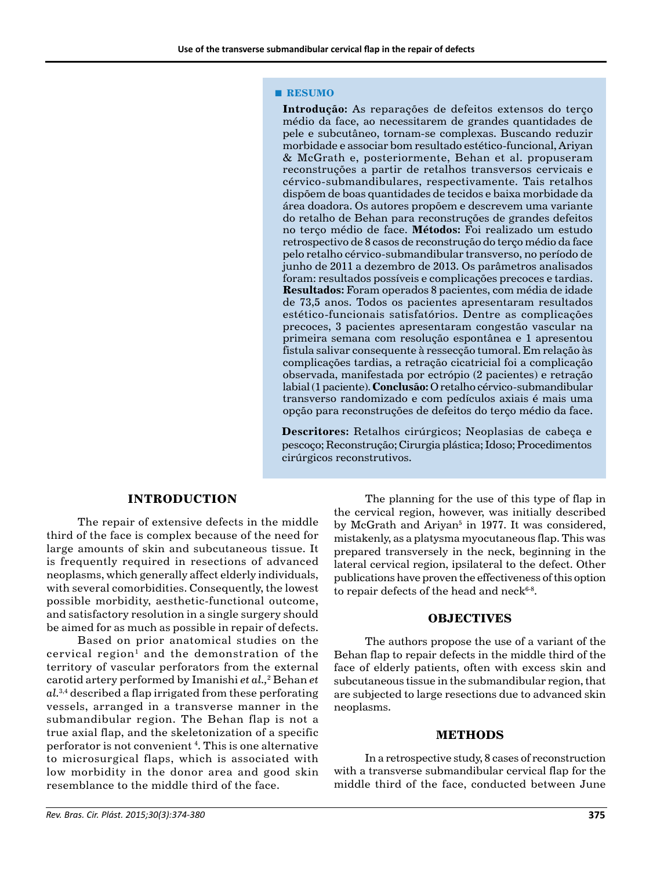#### **■ RESUMO**

**Introdução:** As reparações de defeitos extensos do terço médio da face, ao necessitarem de grandes quantidades de pele e subcutâneo, tornam-se complexas. Buscando reduzir morbidade e associar bom resultado estético-funcional, Ariyan & McGrath e, posteriormente, Behan et al. propuseram reconstruções a partir de retalhos transversos cervicais e cérvico-submandibulares, respectivamente. Tais retalhos dispõem de boas quantidades de tecidos e baixa morbidade da área doadora. Os autores propõem e descrevem uma variante do retalho de Behan para reconstruções de grandes defeitos no terço médio de face. **Métodos:** Foi realizado um estudo retrospectivo de 8 casos de reconstrução do terço médio da face pelo retalho cérvico-submandibular transverso, no período de junho de 2011 a dezembro de 2013. Os parâmetros analisados foram: resultados possíveis e complicações precoces e tardias. **Resultados:** Foram operados 8 pacientes, com média de idade de 73,5 anos. Todos os pacientes apresentaram resultados estético-funcionais satisfatórios. Dentre as complicações precoces, 3 pacientes apresentaram congestão vascular na primeira semana com resolução espontânea e 1 apresentou fistula salivar consequente à ressecção tumoral. Em relação às complicações tardias, a retração cicatricial foi a complicação observada, manifestada por ectrópio (2 pacientes) e retração labial (1 paciente). **Conclusão:** O retalho cérvico-submandibular transverso randomizado e com pedículos axiais é mais uma opção para reconstruções de defeitos do terço médio da face.

**Descritores:** Retalhos cirúrgicos; Neoplasias de cabeça e pescoço; Reconstrução; Cirurgia plástica; Idoso; Procedimentos cirúrgicos reconstrutivos.

## **INTRODUCTION**

The repair of extensive defects in the middle third of the face is complex because of the need for large amounts of skin and subcutaneous tissue. It is frequently required in resections of advanced neoplasms, which generally affect elderly individuals, with several comorbidities. Consequently, the lowest possible morbidity, aesthetic-functional outcome, and satisfactory resolution in a single surgery should be aimed for as much as possible in repair of defects.

Based on prior anatomical studies on the cervical region<sup>1</sup> and the demonstration of the territory of vascular perforators from the external carotid artery performed by Imanishi *et al.,*<sup>2</sup> Behan *et al.*3,4 described a flap irrigated from these perforating vessels, arranged in a transverse manner in the submandibular region. The Behan flap is not a true axial flap, and the skeletonization of a specific perforator is not convenient 4 . This is one alternative to microsurgical flaps, which is associated with low morbidity in the donor area and good skin resemblance to the middle third of the face.

The planning for the use of this type of flap in the cervical region, however, was initially described by McGrath and Ariyan<sup>5</sup> in 1977. It was considered, mistakenly, as a platysma myocutaneous flap. This was prepared transversely in the neck, beginning in the lateral cervical region, ipsilateral to the defect. Other publications have proven the effectiveness of this option to repair defects of the head and neck<sup>6-8</sup>.

## **OBJECTIVES**

The authors propose the use of a variant of the Behan flap to repair defects in the middle third of the face of elderly patients, often with excess skin and subcutaneous tissue in the submandibular region, that are subjected to large resections due to advanced skin neoplasms.

### **METHODS**

In a retrospective study, 8 cases of reconstruction with a transverse submandibular cervical flap for the middle third of the face, conducted between June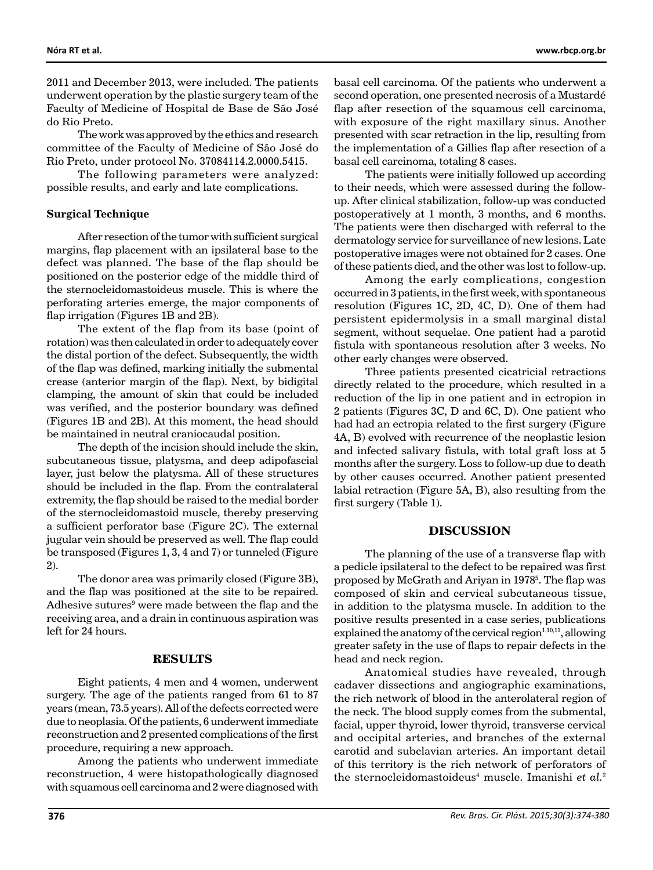2011 and December 2013, were included. The patients underwent operation by the plastic surgery team of the Faculty of Medicine of Hospital de Base de São José do Rio Preto.

The work was approved by the ethics and research committee of the Faculty of Medicine of São José do Rio Preto, under protocol No. 37084114.2.0000.5415.

The following parameters were analyzed: possible results, and early and late complications.

#### **Surgical Technique**

After resection of the tumor with sufficient surgical margins, flap placement with an ipsilateral base to the defect was planned. The base of the flap should be positioned on the posterior edge of the middle third of the sternocleidomastoideus muscle. This is where the perforating arteries emerge, the major components of flap irrigation (Figures 1B and 2B).

The extent of the flap from its base (point of rotation) was then calculated in order to adequately cover the distal portion of the defect. Subsequently, the width of the flap was defined, marking initially the submental crease (anterior margin of the flap). Next, by bidigital clamping, the amount of skin that could be included was verified, and the posterior boundary was defined (Figures 1B and 2B). At this moment, the head should be maintained in neutral craniocaudal position.

The depth of the incision should include the skin, subcutaneous tissue, platysma, and deep adipofascial layer, just below the platysma. All of these structures should be included in the flap. From the contralateral extremity, the flap should be raised to the medial border of the sternocleidomastoid muscle, thereby preserving a sufficient perforator base (Figure 2C). The external jugular vein should be preserved as well. The flap could be transposed (Figures 1, 3, 4 and 7) or tunneled (Figure 2).

The donor area was primarily closed (Figure 3B), and the flap was positioned at the site to be repaired. Adhesive sutures<sup>9</sup> were made between the flap and the receiving area, and a drain in continuous aspiration was left for 24 hours.

## **RESULTS**

Eight patients, 4 men and 4 women, underwent surgery. The age of the patients ranged from 61 to 87 years (mean, 73.5 years). All of the defects corrected were due to neoplasia. Of the patients, 6 underwent immediate reconstruction and 2 presented complications of the first procedure, requiring a new approach.

Among the patients who underwent immediate reconstruction, 4 were histopathologically diagnosed with squamous cell carcinoma and 2 were diagnosed with basal cell carcinoma. Of the patients who underwent a second operation, one presented necrosis of a Mustardé flap after resection of the squamous cell carcinoma, with exposure of the right maxillary sinus. Another presented with scar retraction in the lip, resulting from the implementation of a Gillies flap after resection of a basal cell carcinoma, totaling 8 cases.

The patients were initially followed up according to their needs, which were assessed during the followup. After clinical stabilization, follow-up was conducted postoperatively at 1 month, 3 months, and 6 months. The patients were then discharged with referral to the dermatology service for surveillance of new lesions. Late postoperative images were not obtained for 2 cases. One of these patients died, and the other was lost to follow-up.

Among the early complications, congestion occurred in 3 patients, in the first week, with spontaneous resolution (Figures 1C, 2D, 4C, D). One of them had persistent epidermolysis in a small marginal distal segment, without sequelae. One patient had a parotid fistula with spontaneous resolution after 3 weeks. No other early changes were observed.

Three patients presented cicatricial retractions directly related to the procedure, which resulted in a reduction of the lip in one patient and in ectropion in 2 patients (Figures 3C, D and 6C, D). One patient who had had an ectropia related to the first surgery (Figure 4A, B) evolved with recurrence of the neoplastic lesion and infected salivary fistula, with total graft loss at 5 months after the surgery. Loss to follow-up due to death by other causes occurred. Another patient presented labial retraction (Figure 5A, B), also resulting from the first surgery (Table 1).

#### **DISCUSSION**

The planning of the use of a transverse flap with a pedicle ipsilateral to the defect to be repaired was first proposed by McGrath and Ariyan in 19785 . The flap was composed of skin and cervical subcutaneous tissue, in addition to the platysma muscle. In addition to the positive results presented in a case series, publications explained the anatomy of the cervical region $1,10,11$ , allowing greater safety in the use of flaps to repair defects in the head and neck region.

Anatomical studies have revealed, through cadaver dissections and angiographic examinations, the rich network of blood in the anterolateral region of the neck. The blood supply comes from the submental, facial, upper thyroid, lower thyroid, transverse cervical and occipital arteries, and branches of the external carotid and subclavian arteries. An important detail of this territory is the rich network of perforators of the sternocleidomastoideus<sup>4</sup> muscle. Imanishi et al.<sup>2</sup>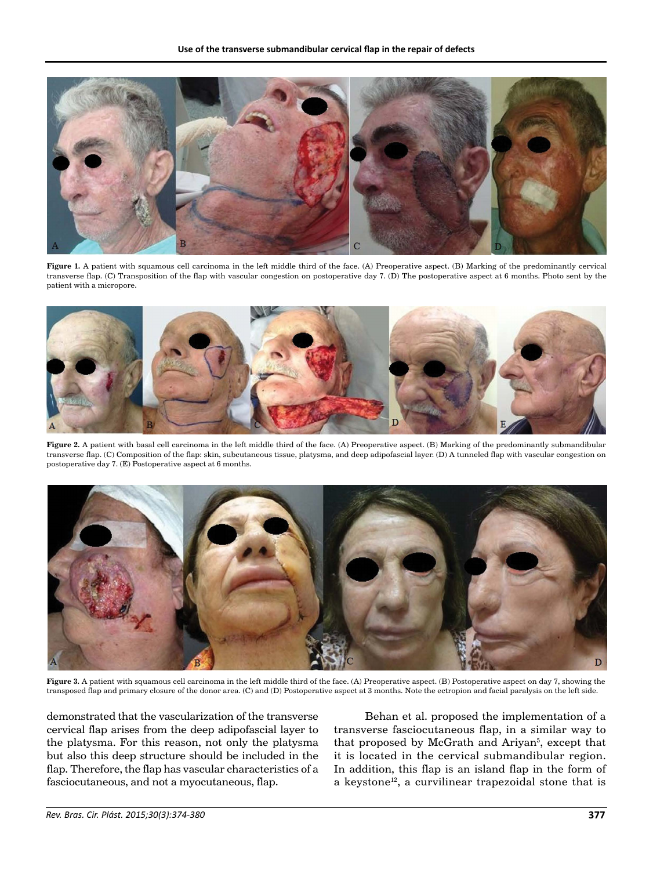

**Figure 1.** A patient with squamous cell carcinoma in the left middle third of the face. (A) Preoperative aspect. (B) Marking of the predominantly cervical transverse flap. (C) Transposition of the flap with vascular congestion on postoperative day 7. (D) The postoperative aspect at 6 months. Photo sent by the patient with a micropore.



**Figure 2.** A patient with basal cell carcinoma in the left middle third of the face. (A) Preoperative aspect. (B) Marking of the predominantly submandibular transverse flap. (C) Composition of the flap: skin, subcutaneous tissue, platysma, and deep adipofascial layer. (D) A tunneled flap with vascular congestion on postoperative day 7. (E) Postoperative aspect at 6 months.



**Figure 3.** A patient with squamous cell carcinoma in the left middle third of the face. (A) Preoperative aspect. (B) Postoperative aspect on day 7, showing the transposed flap and primary closure of the donor area. (C) and (D) Postoperative aspect at 3 months. Note the ectropion and facial paralysis on the left side.

demonstrated that the vascularization of the transverse cervical flap arises from the deep adipofascial layer to the platysma. For this reason, not only the platysma but also this deep structure should be included in the flap. Therefore, the flap has vascular characteristics of a fasciocutaneous, and not a myocutaneous, flap.

Behan et al. proposed the implementation of a transverse fasciocutaneous flap, in a similar way to that proposed by McGrath and Ariyan<sup>5</sup>, except that it is located in the cervical submandibular region. In addition, this flap is an island flap in the form of a keystone<sup>12</sup>, a curvilinear trapezoidal stone that is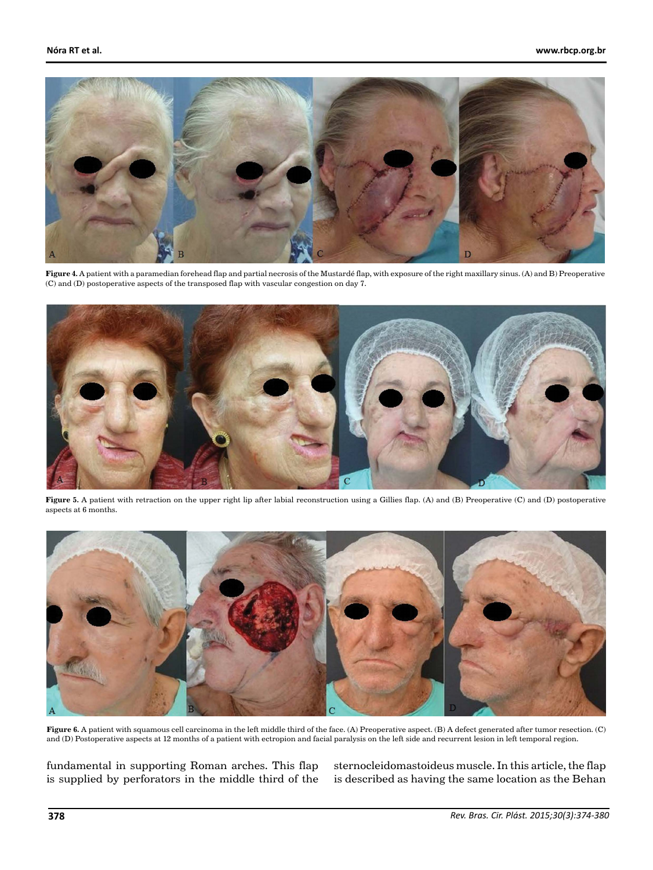

**Figure 4.** A patient with a paramedian forehead flap and partial necrosis of the Mustardé flap, with exposure of the right maxillary sinus. (A) and B) Preoperative (C) and (D) postoperative aspects of the transposed flap with vascular congestion on day 7.



Figure 5. A patient with retraction on the upper right lip after labial reconstruction using a Gillies flap. (A) and (B) Preoperative (C) and (D) postoperative aspects at 6 months.



**Figure 6.** A patient with squamous cell carcinoma in the left middle third of the face. (A) Preoperative aspect. (B) A defect generated after tumor resection. (C) and (D) Postoperative aspects at 12 months of a patient with ectropion and facial paralysis on the left side and recurrent lesion in left temporal region.

fundamental in supporting Roman arches. This flap is supplied by perforators in the middle third of the sternocleidomastoideus muscle. In this article, the flap is described as having the same location as the Behan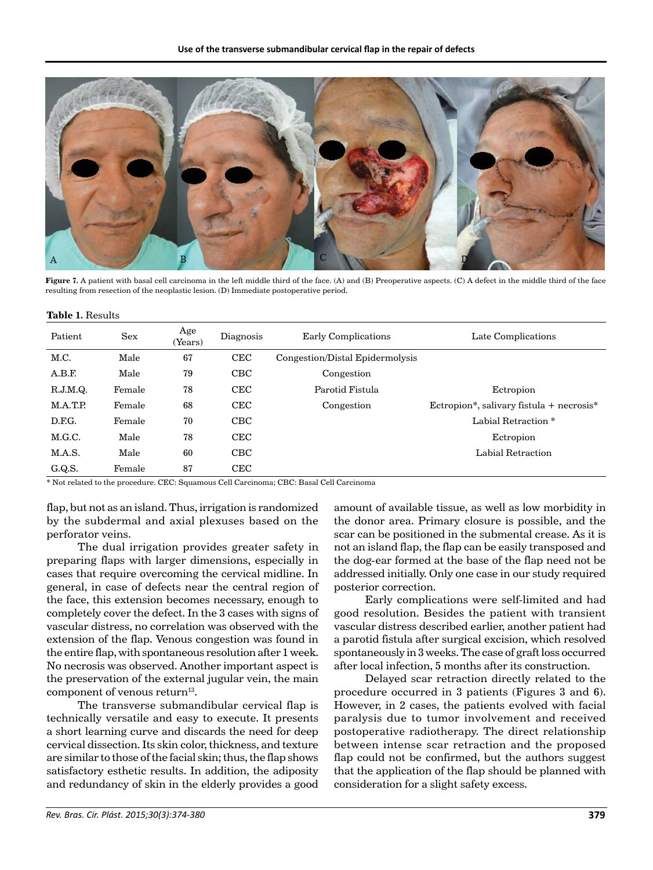

**Figure 7.** A patient with basal cell carcinoma in the left middle third of the face. (A) and (B) Preoperative aspects. (C) A defect in the middle third of the face resulting from resection of the neoplastic lesion. (D) Immediate postoperative period.

| Patient  | Sex    | Age<br>(Years) | Diagnosis  | <b>Early Complications</b>      | Late Complications                       |
|----------|--------|----------------|------------|---------------------------------|------------------------------------------|
| M.C.     | Male   | 67             | <b>CEC</b> | Congestion/Distal Epidermolysis |                                          |
| A.B.F.   | Male   | 79             | CBC        | Congestion                      |                                          |
| R.J.M.Q. | Female | 78             | <b>CEC</b> | Parotid Fistula                 | Ectropion                                |
| M.A.T.P. | Female | 68             | <b>CEC</b> | Congestion                      | Ectropion*, salivary fistula + necrosis* |
| D.F.G.   | Female | 70             | CBC        |                                 | Labial Retraction *                      |
| M.G.C.   | Male   | 78             | <b>CEC</b> |                                 | Ectropion                                |
| M.A.S.   | Male   | 60             | CBC        |                                 | Labial Retraction                        |
| G.Q.S.   | Female | 87             | <b>CEC</b> |                                 |                                          |

\* Not related to the procedure. CEC: Squamous Cell Carcinoma; CBC: Basal Cell Carcinoma

flap, but not as an island. Thus, irrigation is randomized by the subdermal and axial plexuses based on the perforator veins.

The dual irrigation provides greater safety in preparing flaps with larger dimensions, especially in cases that require overcoming the cervical midline. In general, in case of defects near the central region of the face, this extension becomes necessary, enough to completely cover the defect. In the 3 cases with signs of vascular distress, no correlation was observed with the extension of the flap. Venous congestion was found in the entire flap, with spontaneous resolution after 1 week. No necrosis was observed. Another important aspect is the preservation of the external jugular vein, the main component of venous return<sup>13</sup>.

The transverse submandibular cervical flap is technically versatile and easy to execute. It presents a short learning curve and discards the need for deep cervical dissection. Its skin color, thickness, and texture are similar to those of the facial skin; thus, the flap shows satisfactory esthetic results. In addition, the adiposity and redundancy of skin in the elderly provides a good

amount of available tissue, as well as low morbidity in the donor area. Primary closure is possible, and the scar can be positioned in the submental crease. As it is not an island flap, the flap can be easily transposed and the dog-ear formed at the base of the flap need not be addressed initially. Only one case in our study required posterior correction.

Early complications were self-limited and had good resolution. Besides the patient with transient vascular distress described earlier, another patient had a parotid fistula after surgical excision, which resolved spontaneously in 3 weeks. The case of graft loss occurred after local infection, 5 months after its construction.

Delayed scar retraction directly related to the procedure occurred in 3 patients (Figures 3 and 6). However, in 2 cases, the patients evolved with facial paralysis due to tumor involvement and received postoperative radiotherapy. The direct relationship between intense scar retraction and the proposed flap could not be confirmed, but the authors suggest that the application of the flap should be planned with consideration for a slight safety excess.